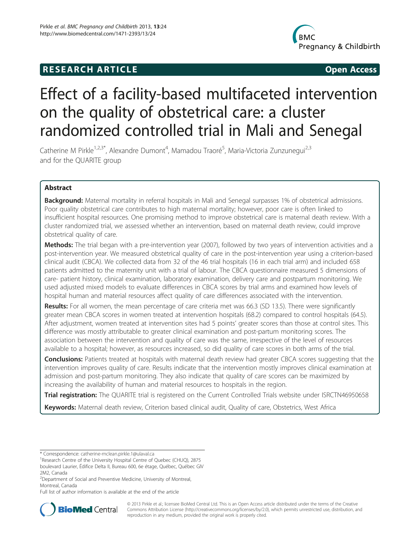# **RESEARCH ARTICLE Example 20 and 20 and 20 and 20 and 20 and 20 and 20 and 20 and 20 and 20 and 20 and 20 and 20 and 20 and 20 and 20 and 20 and 20 and 20 and 20 and 20 and 20 and 20 and 20 and 20 and 20 and 20 and 20 an**



# Effect of a facility-based multifaceted intervention on the quality of obstetrical care: a cluster randomized controlled trial in Mali and Senegal

Catherine M Pirkle<sup>1,2,3\*</sup>, Alexandre Dumont<sup>4</sup>, Mamadou Traoré<sup>5</sup>, Maria-Victoria Zunzunegui<sup>2,3</sup> and for the QUARITE group

# Abstract

**Background:** Maternal mortality in referral hospitals in Mali and Senegal surpasses 1% of obstetrical admissions. Poor quality obstetrical care contributes to high maternal mortality; however, poor care is often linked to insufficient hospital resources. One promising method to improve obstetrical care is maternal death review. With a cluster randomized trial, we assessed whether an intervention, based on maternal death review, could improve obstetrical quality of care.

Methods: The trial began with a pre-intervention year (2007), followed by two years of intervention activities and a post-intervention year. We measured obstetrical quality of care in the post-intervention year using a criterion-based clinical audit (CBCA). We collected data from 32 of the 46 trial hospitals (16 in each trial arm) and included 658 patients admitted to the maternity unit with a trial of labour. The CBCA questionnaire measured 5 dimensions of care- patient history, clinical examination, laboratory examination, delivery care and postpartum monitoring. We used adjusted mixed models to evaluate differences in CBCA scores by trial arms and examined how levels of hospital human and material resources affect quality of care differences associated with the intervention.

Results: For all women, the mean percentage of care criteria met was 66.3 (SD 13.5). There were significantly greater mean CBCA scores in women treated at intervention hospitals (68.2) compared to control hospitals (64.5). After adjustment, women treated at intervention sites had 5 points' greater scores than those at control sites. This difference was mostly attributable to greater clinical examination and post-partum monitoring scores. The association between the intervention and quality of care was the same, irrespective of the level of resources available to a hospital; however, as resources increased, so did quality of care scores in both arms of the trial.

**Conclusions:** Patients treated at hospitals with maternal death review had greater CBCA scores suggesting that the intervention improves quality of care. Results indicate that the intervention mostly improves clinical examination at admission and post-partum monitoring. They also indicate that quality of care scores can be maximized by increasing the availability of human and material resources to hospitals in the region.

Trial registration: The QUARITE trial is registered on the Current Controlled Trials website under [ISRCTN46950658](http://www.controlled-trials.com/ISRCTN46950658)

Keywords: Maternal death review, Criterion based clinical audit, Quality of care, Obstetrics, West Africa

Full list of author information is available at the end of the article



© 2013 Pirkle et al.; licensee BioMed Central Ltd. This is an Open Access article distributed under the terms of the Creative Commons Attribution License [\(http://creativecommons.org/licenses/by/2.0\)](http://creativecommons.org/licenses/by/2.0), which permits unrestricted use, distribution, and reproduction in any medium, provided the original work is properly cited.

<sup>\*</sup> Correspondence: [catherine-mclean.pirkle.1@ulaval.ca](mailto:catherine-mclean.pirkle.1@ulaval.ca) <sup>1</sup>

<sup>&</sup>lt;sup>1</sup> Research Centre of the University Hospital Centre of Quebec (CHUQ), 2875 boulevard Laurier, Édifice Delta II, Bureau 600, 6e étage, Québec, Québec GIV

<sup>2</sup>M2, Canada

<sup>&</sup>lt;sup>2</sup>Department of Social and Preventive Medicine, University of Montreal, Montreal, Canada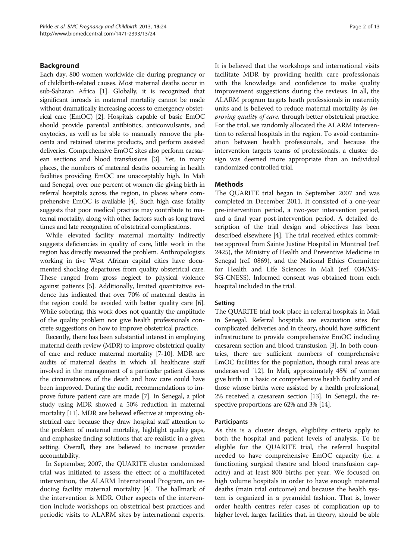# <span id="page-1-0"></span>Background

Each day, 800 women worldwide die during pregnancy or of childbirth-related causes. Most maternal deaths occur in sub-Saharan Africa [[1](#page-11-0)]. Globally, it is recognized that significant inroads in maternal mortality cannot be made without dramatically increasing access to emergency obstetrical care (EmOC) [\[2\]](#page-11-0). Hospitals capable of basic EmOC should provide parental antibiotics, anticonvulsants, and oxytocics, as well as be able to manually remove the placenta and retained uterine products, and perform assisted deliveries. Comprehensive EmOC sites also perform caesarean sections and blood transfusions [\[3\]](#page-11-0). Yet, in many places, the numbers of maternal deaths occurring in health facilities providing EmOC are unacceptably high. In Mali and Senegal, over one percent of women die giving birth in referral hospitals across the region, in places where comprehensive EmOC is available [\[4\]](#page-11-0). Such high case fatality suggests that poor medical practice may contribute to maternal mortality, along with other factors such as long travel times and late recognition of obstetrical complications.

While elevated facility maternal mortality indirectly suggests deficiencies in quality of care, little work in the region has directly measured the problem. Anthropologists working in five West African capital cities have documented shocking departures from quality obstetrical care. These ranged from gross neglect to physical violence against patients [\[5\]](#page-11-0). Additionally, limited quantitative evidence has indicated that over 70% of maternal deaths in the region could be avoided with better quality care [[6](#page-11-0)]. While sobering, this work does not quantify the amplitude of the quality problem nor give health professionals concrete suggestions on how to improve obstetrical practice.

Recently, there has been substantial interest in employing maternal death review (MDR) to improve obstetrical quality of care and reduce maternal mortality [\[7-10\]](#page-11-0). MDR are audits of maternal deaths in which all healthcare staff involved in the management of a particular patient discuss the circumstances of the death and how care could have been improved. During the audit, recommendations to improve future patient care are made [\[7\]](#page-11-0). In Senegal, a pilot study using MDR showed a 50% reduction in maternal mortality [\[11](#page-11-0)]. MDR are believed effective at improving obstetrical care because they draw hospital staff attention to the problem of maternal mortality, highlight quality gaps, and emphasize finding solutions that are realistic in a given setting. Overall, they are believed to increase provider accountability.

In September, 2007, the QUARITE cluster randomized trial was initiated to assess the effect of a multifaceted intervention, the ALARM International Program, on reducing facility maternal mortality [\[4](#page-11-0)]. The hallmark of the intervention is MDR. Other aspects of the intervention include workshops on obstetrical best practices and periodic visits to ALARM sites by international experts. It is believed that the workshops and international visits facilitate MDR by providing health care professionals with the knowledge and confidence to make quality improvement suggestions during the reviews. In all, the ALARM program targets heath professionals in maternity units and is believed to reduce maternal mortality by improving quality of care, through better obstetrical practice. For the trial, we randomly allocated the ALARM intervention to referral hospitals in the region. To avoid contamination between health professionals, and because the intervention targets teams of professionals, a cluster design was deemed more appropriate than an individual randomized controlled trial.

#### Methods

The QUARITE trial began in September 2007 and was completed in December 2011. It consisted of a one-year pre-intervention period, a two-year intervention period, and a final year post-intervention period. A detailed description of the trial design and objectives has been described elsewhere [[4\]](#page-11-0). The trial received ethics committee approval from Sainte Justine Hospital in Montreal (ref. 2425), the Ministry of Health and Preventive Medicine in Senegal (ref. 0869), and the National Ethics Committee for Health and Life Sciences in Mali (ref. 034/MS-SG-CNESS). Informed consent was obtained from each hospital included in the trial.

#### Setting

The QUARITE trial took place in referral hospitals in Mali in Senegal. Referral hospitals are evacuation sites for complicated deliveries and in theory, should have sufficient infrastructure to provide comprehensive EmOC including caesarean section and blood transfusion [[3\]](#page-11-0). In both countries, there are sufficient numbers of comprehensive EmOC facilities for the population, though rural areas are underserved [[12](#page-12-0)]. In Mali, approximately 45% of women give birth in a basic or comprehensive health facility and of those whose births were assisted by a health professional, 2% received a caesarean section [\[13\]](#page-12-0). In Senegal, the respective proportions are 62% and 3% [[14](#page-12-0)].

#### Participants

As this is a cluster design, eligibility criteria apply to both the hospital and patient levels of analysis. To be eligible for the QUARITE trial, the referral hospital needed to have comprehensive EmOC capacity (i.e. a functioning surgical theatre and blood transfusion capacity) and at least 800 births per year. We focused on high volume hospitals in order to have enough maternal deaths (main trial outcome) and because the health system is organized in a pyramidal fashion. That is, lower order health centres refer cases of complication up to higher level, larger facilities that, in theory, should be able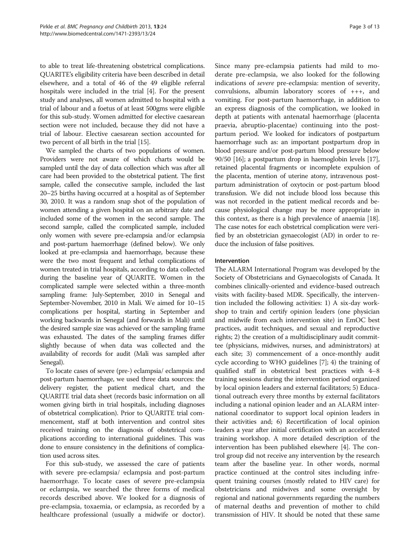to able to treat life-threatening obstetrical complications. QUARITE's eligibility criteria have been described in detail elsewhere, and a total of 46 of the 49 eligible referral hospitals were included in the trial [\[4](#page-11-0)]. For the present study and analyses, all women admitted to hospital with a trial of labour and a foetus of at least 500gms were eligible for this sub-study. Women admitted for elective caesarean section were not included, because they did not have a trial of labour. Elective caesarean section accounted for two percent of all birth in the trial [[15](#page-12-0)].

We sampled the charts of two populations of women. Providers were not aware of which charts would be sampled until the day of data collection which was after all care had been provided to the obstetrical patient. The first sample, called the consecutive sample, included the last 20–25 births having occurred at a hospital as of September 30, 2010. It was a random snap shot of the population of women attending a given hospital on an arbitrary date and included some of the women in the second sample. The second sample, called the complicated sample, included only women with severe pre-eclampsia and/or eclampsia and post-partum haemorrhage (defined below). We only looked at pre-eclampsia and haemorrhage, because these were the two most frequent and lethal complications of women treated in trial hospitals, according to data collected during the baseline year of QUARITE. Women in the complicated sample were selected within a three-month sampling frame: July-September, 2010 in Senegal and September-November, 2010 in Mali. We aimed for 10–15 complications per hospital, starting in September and working backwards in Senegal (and forwards in Mali) until the desired sample size was achieved or the sampling frame was exhausted. The dates of the sampling frames differ slightly because of when data was collected and the availability of records for audit (Mali was sampled after Senegal).

To locate cases of severe (pre-) eclampsia/ eclampsia and post-partum haemorrhage, we used three data sources: the delivery register, the patient medical chart, and the QUARITE trial data sheet (records basic information on all women giving birth in trial hospitals, including diagnoses of obstetrical complication). Prior to QUARITE trial commencement, staff at both intervention and control sites received training on the diagnosis of obstetrical complications according to international guidelines. This was done to ensure consistency in the definitions of complication used across sites.

For this sub-study, we assessed the care of patients with severe pre-eclampsia/ eclampsia and post-partum haemorrhage. To locate cases of severe pre-eclampsia or eclampsia, we searched the three forms of medical records described above. We looked for a diagnosis of pre-eclampsia, toxaemia, or eclampsia, as recorded by a healthcare professional (usually a midwife or doctor). Since many pre-eclampsia patients had mild to moderate pre-eclampsia, we also looked for the following indications of severe pre-eclampsia: mention of severity, convulsions, albumin laboratory scores of +++, and vomiting. For post-partum haemorrhage, in addition to an express diagnosis of the complication, we looked in depth at patients with antenatal haemorrhage (placenta praevia, abruptio-placentae) continuing into the postpartum period. We looked for indicators of postpartum haemorrhage such as: an important postpartum drop in blood pressure and/or post-partum blood pressure below 90/50 [[16](#page-12-0)]; a postpartum drop in haemoglobin levels [\[17](#page-12-0)], retained placental fragments or incomplete expulsion of the placenta, mention of uterine atony, intravenous postpartum administration of oxytocin or post-partum blood transfusion. We did not include blood loss because this was not recorded in the patient medical records and because physiological change may be more appropriate in this context, as there is a high prevalence of anaemia [\[18](#page-12-0)]. The case notes for each obstetrical complication were verified by an obstetrician gynaecologist (AD) in order to reduce the inclusion of false positives.

# Intervention

The ALARM International Program was developed by the Society of Obstetricians and Gynaecologists of Canada. It combines clinically-oriented and evidence-based outreach visits with facility-based MDR. Specifically, the intervention included the following activities: 1) A six-day workshop to train and certify opinion leaders (one physician and midwife from each intervention site) in EmOC best practices, audit techniques, and sexual and reproductive rights; 2) the creation of a multidisciplinary audit committee (physicians, midwives, nurses, and administrators) at each site; 3) commencement of a once-monthly audit cycle according to WHO guidelines [\[7\]](#page-11-0); 4) the training of qualified staff in obstetrical best practices with 4–8 training sessions during the intervention period organized by local opinion leaders and external facilitators; 5) Educational outreach every three months by external facilitators including a national opinion leader and an ALARM international coordinator to support local opinion leaders in their activities and; 6) Recertification of local opinion leaders a year after initial certification with an accelerated training workshop. A more detailed description of the intervention has been published elsewhere [\[4](#page-11-0)]. The control group did not receive any intervention by the research team after the baseline year. In other words, normal practice continued at the control sites including infrequent training courses (mostly related to HIV care) for obstetricians and midwives and some oversight by regional and national governments regarding the numbers of maternal deaths and prevention of mother to child transmission of HIV. It should be noted that these same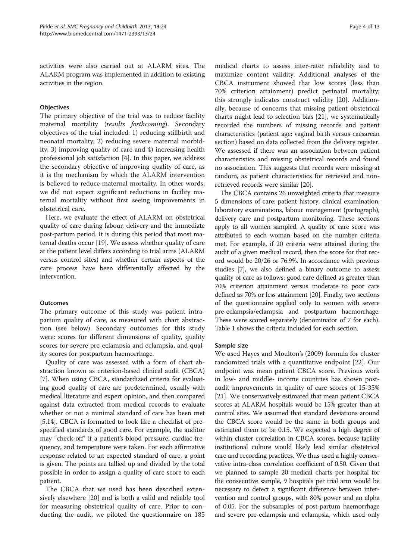activities were also carried out at ALARM sites. The ALARM program was implemented in addition to existing activities in the region.

### **Objectives**

The primary objective of the trial was to reduce facility maternal mortality (results forthcoming). Secondary objectives of the trial included: 1) reducing stillbirth and neonatal mortality; 2) reducing severe maternal morbidity; 3) improving quality of care and 4) increasing health professional job satisfaction [[4\]](#page-11-0). In this paper, we address the secondary objective of improving quality of care, as it is the mechanism by which the ALARM intervention is believed to reduce maternal mortality. In other words, we did not expect significant reductions in facility maternal mortality without first seeing improvements in obstetrical care.

Here, we evaluate the effect of ALARM on obstetrical quality of care during labour, delivery and the immediate post-partum period. It is during this period that most maternal deaths occur [[19](#page-12-0)]. We assess whether quality of care at the patient level differs according to trial arms (ALARM versus control sites) and whether certain aspects of the care process have been differentially affected by the intervention.

### **Outcomes**

The primary outcome of this study was patient intrapartum quality of care, as measured with chart abstraction (see below). Secondary outcomes for this study were: scores for different dimensions of quality, quality scores for severe pre-eclampsia and eclampsia, and quality scores for postpartum haemorrhage.

Quality of care was assessed with a form of chart abstraction known as criterion-based clinical audit (CBCA) [[7\]](#page-11-0). When using CBCA, standardized criteria for evaluating good quality of care are predetermined, usually with medical literature and expert opinion, and then compared against data extracted from medical records to evaluate whether or not a minimal standard of care has been met [[5,](#page-11-0)[14](#page-12-0)]. CBCA is formatted to look like a checklist of prespecified standards of good care. For example, the auditor may "check-off" if a patient's blood pressure, cardiac frequency, and temperature were taken. For each affirmative response related to an expected standard of care, a point is given. The points are tallied up and divided by the total possible in order to assign a quality of care score to each patient.

The CBCA that we used has been described extensively elsewhere [\[20\]](#page-12-0) and is both a valid and reliable tool for measuring obstetrical quality of care. Prior to conducting the audit, we piloted the questionnaire on 185

medical charts to assess inter-rater reliability and to maximize content validity. Additional analyses of the CBCA instrument showed that low scores (less than 70% criterion attainment) predict perinatal mortality; this strongly indicates construct validity [\[20\]](#page-12-0). Additionally, because of concerns that missing patient obstetrical charts might lead to selection bias [\[21\]](#page-12-0), we systematically recorded the numbers of missing records and patient characteristics (patient age; vaginal birth versus caesarean section) based on data collected from the delivery register. We assessed if there was an association between patient characteristics and missing obstetrical records and found no association. This suggests that records were missing at random, as patient characteristics for retrieved and nonretrieved records were similar [\[20](#page-12-0)].

The CBCA contains 26 unweighted criteria that measure 5 dimensions of care: patient history, clinical examination, laboratory examinations, labour management (partograph), delivery care and postpartum monitoring. These sections apply to all women sampled. A quality of care score was attributed to each woman based on the number criteria met. For example, if 20 criteria were attained during the audit of a given medical record, then the score for that record would be 20/26 or 76.9%. In accordance with previous studies [[7](#page-11-0)], we also defined a binary outcome to assess quality of care as follows: good care defined as greater than 70% criterion attainment versus moderate to poor care defined as 70% or less attainment [\[20](#page-12-0)]. Finally, two sections of the questionnaire applied only to women with severe pre-eclampsia/eclampsia and postpartum haemorrhage. These were scored separately (denominator of 7 for each). Table [1](#page-4-0) shows the criteria included for each section.

#### Sample size

We used Hayes and Moulton's (2009) formula for cluster randomized trials with a quantitative endpoint [\[22](#page-12-0)]. Our endpoint was mean patient CBCA score. Previous work in low- and middle- income countries has shown postaudit improvements in quality of care scores of 15-35% [[21\]](#page-12-0). We conservatively estimated that mean patient CBCA scores at ALARM hospitals would be 15% greater than at control sites. We assumed that standard deviations around the CBCA score would be the same in both groups and estimated them to be 0.15. We expected a high degree of within cluster correlation in CBCA scores, because facility institutional culture would likely lead similar obstetrical care and recording practices. We thus used a highly conservative intra-class correlation coefficient of 0.50. Given that we planned to sample 20 medical charts per hospital for the consecutive sample, 9 hospitals per trial arm would be necessary to detect a significant difference between intervention and control groups, with 80% power and an alpha of 0.05. For the subsamples of post-partum haemorrhage and severe pre-eclampsia and eclampsia, which used only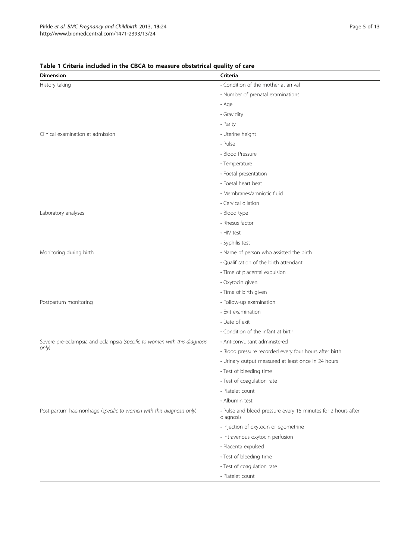| <b>Dimension</b>                                                          | Criteria                                                                   |
|---------------------------------------------------------------------------|----------------------------------------------------------------------------|
| History taking                                                            | • Condition of the mother at arrival                                       |
|                                                                           | • Number of prenatal examinations                                          |
|                                                                           | $\cdot$ Age                                                                |
|                                                                           | • Gravidity                                                                |
|                                                                           | • Parity                                                                   |
| Clinical examination at admission                                         | • Uterine height                                                           |
|                                                                           | $\n  Pulse\n$                                                              |
|                                                                           | • Blood Pressure                                                           |
|                                                                           | • Temperature                                                              |
|                                                                           | • Foetal presentation                                                      |
|                                                                           | • Foetal heart beat                                                        |
|                                                                           | • Membranes/amniotic fluid                                                 |
|                                                                           | • Cervical dilation                                                        |
| Laboratory analyses                                                       | • Blood type                                                               |
|                                                                           | • Rhesus factor                                                            |
|                                                                           | • HIV test                                                                 |
|                                                                           | • Syphilis test                                                            |
| Monitoring during birth                                                   | • Name of person who assisted the birth                                    |
|                                                                           | • Qualification of the birth attendant                                     |
|                                                                           | · Time of placental expulsion                                              |
|                                                                           | · Oxytocin given                                                           |
|                                                                           | · Time of birth given                                                      |
| Postpartum monitoring                                                     | • Follow-up examination                                                    |
|                                                                           | • Exit examination                                                         |
|                                                                           | • Date of exit                                                             |
|                                                                           | • Condition of the infant at birth                                         |
| Severe pre-eclampsia and eclampsia (specific to women with this diagnosis | • Anticonvulsant administered                                              |
| only)                                                                     | · Blood pressure recorded every four hours after birth                     |
|                                                                           | • Urinary output measured at least once in 24 hours                        |
|                                                                           | • Test of bleeding time                                                    |
|                                                                           | • Test of coagulation rate                                                 |
|                                                                           | • Platelet count                                                           |
|                                                                           | • Albumin test                                                             |
| Post-partum haemorrhage (specific to women with this diagnosis only)      | • Pulse and blood pressure every 15 minutes for 2 hours after<br>diagnosis |
|                                                                           | · Injection of oxytocin or egometrine                                      |
|                                                                           | · Intravenous oxytocin perfusion                                           |
|                                                                           | · Placenta expulsed                                                        |
|                                                                           | • Test of bleeding time                                                    |
|                                                                           | • Test of coagulation rate                                                 |
|                                                                           | • Platelet count                                                           |

# <span id="page-4-0"></span>Table 1 Criteria included in the CBCA to measure obstetrical quality of care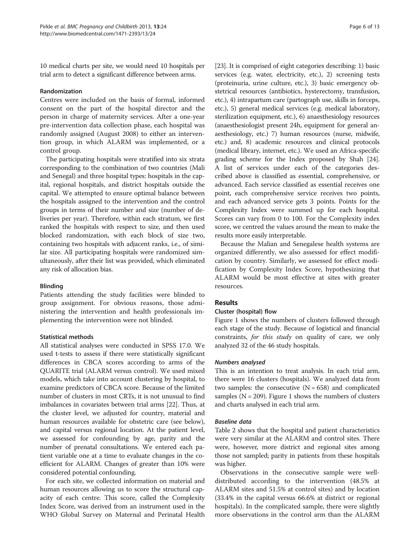10 medical charts per site, we would need 10 hospitals per trial arm to detect a significant difference between arms.

### Randomization

Centres were included on the basis of formal, informed consent on the part of the hospital director and the person in charge of maternity services. After a one-year pre-intervention data collection phase, each hospital was randomly assigned (August 2008) to either an intervention group, in which ALARM was implemented, or a control group.

The participating hospitals were stratified into six strata corresponding to the combination of two countries (Mali and Senegal) and three hospital types: hospitals in the capital, regional hospitals, and district hospitals outside the capital. We attempted to ensure optimal balance between the hospitals assigned to the intervention and the control groups in terms of their number and size (number of deliveries per year). Therefore, within each stratum, we first ranked the hospitals with respect to size, and then used blocked randomization, with each block of size two, containing two hospitals with adjacent ranks, i.e., of similar size. All participating hospitals were randomized simultaneously, after their list was provided, which eliminated any risk of allocation bias.

#### Blinding

Patients attending the study facilities were blinded to group assignment. For obvious reasons, those administering the intervention and health professionals implementing the intervention were not blinded.

# Statistical methods

All statistical analyses were conducted in SPSS 17.0. We used t-tests to assess if there were statistically significant differences in CBCA scores according to arms of the QUARITE trial (ALARM versus control). We used mixed models, which take into account clustering by hospital, to examine predictors of CBCA score. Because of the limited number of clusters in most CRTs, it is not unusual to find imbalances in covariates between trial arms [\[22\]](#page-12-0). Thus, at the cluster level, we adjusted for country, material and human resources available for obstetric care (see below), and capital versus regional location. At the patient level, we assessed for confounding by age, parity and the number of prenatal consultations. We entered each patient variable one at a time to evaluate changes in the coefficient for ALARM. Changes of greater than 10% were considered potential confounding.

For each site, we collected information on material and human resources allowing us to score the structural capacity of each centre. This score, called the Complexity Index Score, was derived from an instrument used in the WHO Global Survey on Maternal and Perinatal Health

[[23](#page-12-0)]. It is comprised of eight categories describing: 1) basic services (e.g. water, electricity, etc.), 2) screening tests (proteinuria, urine culture, etc.), 3) basic emergency obstetrical resources (antibiotics, hysterectomy, transfusion, etc.), 4) intrapartum care (partograph use, skills in forceps, etc.), 5) general medical services (e.g. medical laboratory, sterilization equipment, etc.), 6) anaesthesiology resources (anaesthesiologist present 24h, equipment for general anaesthesiology, etc.) 7) human resources (nurse, midwife, etc.) and, 8) academic resources and clinical protocols (medical library, internet, etc.). We used an Africa-specific grading scheme for the Index proposed by Shah [[24](#page-12-0)]. A list of services under each of the categories described above is classified as essential, comprehensive, or advanced. Each service classified as essential receives one point, each comprehensive service receives two points, and each advanced service gets 3 points. Points for the Complexity Index were summed up for each hospital. Scores can vary from 0 to 100. For the Complexity index score, we centred the values around the mean to make the results more easily interpretable.

Because the Malian and Senegalese health systems are organized differently, we also assessed for effect modification by country. Similarly, we assessed for effect modification by Complexity Index Score, hypothesizing that ALARM would be most effective at sites with greater resources.

# Results

#### Cluster (hospital) flow

Figure [1](#page-6-0) shows the numbers of clusters followed through each stage of the study. Because of logistical and financial constraints, for this study on quality of care, we only analyzed 32 of the 46 study hospitals.

# Numbers analysed

This is an intention to treat analysis. In each trial arm, there were 16 clusters (hospitals). We analyzed data from two samples: the consecutive  $(N = 658)$  and complicated samples ( $N = 209$ ). Figure [1](#page-6-0) shows the numbers of clusters and charts analysed in each trial arm.

### Baseline data

Table [2](#page-7-0) shows that the hospital and patient characteristics were very similar at the ALARM and control sites. There were, however, more district and regional sites among those not sampled; parity in patients from these hospitals was higher.

Observations in the consecutive sample were welldistributed according to the intervention (48.5% at ALARM sites and 51.5% at control sites) and by location (33.4% in the capital versus 66.6% at district or regional hospitals). In the complicated sample, there were slightly more observations in the control arm than the ALARM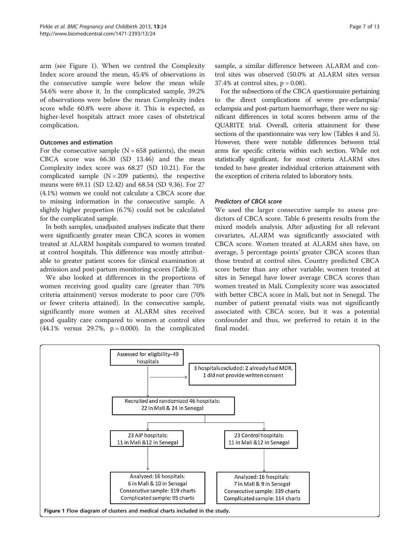<span id="page-6-0"></span>arm (see Figure 1). When we centred the Complexity Index score around the mean, 45.4% of observations in the consecutive sample were below the mean while 54.6% were above it. In the complicated sample, 39.2% of observations were below the mean Complexity index score while 60.8% were above it. This is expected, as higher-level hospitals attract more cases of obstetrical complication.

# Outcomes and estimation

For the consecutive sample  $(N = 658$  patients), the mean CBCA score was 66.30 (SD 13.46) and the mean Complexity index score was 68.27 (SD 10.21). For the complicated sample  $(N = 209$  patients), the respective means were 69.11 (SD 12.42) and 68.54 (SD 9.36). For 27 (4.1%) women we could not calculate a CBCA score due to missing information in the consecutive sample. A slightly higher proportion (6.7%) could not be calculated for the complicated sample.

In both samples, unadjusted analyses indicate that there were significantly greater mean CBCA scores in women treated at ALARM hospitals compared to women treated at control hospitals. This difference was mostly attributable to greater patient scores for clinical examination at admission and post-partum monitoring scores (Table [3](#page-7-0)).

We also looked at differences in the proportions of women receiving good quality care (greater than 70% criteria attainment) versus moderate to poor care (70% or fewer criteria attained). In the consecutive sample, significantly more women at ALARM sites received good quality care compared to women at control sites  $(44.1\%$  versus 29.7%,  $p = 0.000$ ). In the complicated

sample, a similar difference between ALARM and control sites was observed (50.0% at ALARM sites versus 37.4% at control sites,  $p = 0.08$ .

For the subsections of the CBCA questionnaire pertaining to the direct complications of severe pre-eclampsia/ eclampsia and post-partum haemorrhage, there were no significant differences in total scores between arms of the QUARITE trial. Overall, criteria attainment for these sections of the questionnaire was very low (Tables [4](#page-8-0) and [5](#page-9-0)). However, there were notable differences between trial arms for specific criteria within each section. While not statistically significant, for most criteria ALARM sites tended to have greater individual criterion attainment with the exception of criteria related to laboratory tests.

#### Predictors of CBCA score

We used the larger consecutive sample to assess predictors of CBCA score. Table [6](#page-9-0) presents results from the mixed models analysis. After adjusting for all relevant covariates, ALARM was significantly associated with CBCA score. Women treated at ALARM sites have, on average, 5 percentage points' greater CBCA scores than those treated at control sites. Country predicted CBCA score better than any other variable; women treated at sites in Senegal have lower average CBCA scores than women treated in Mali. Complexity score was associated with better CBCA score in Mali, but not in Senegal. The number of patient prenatal visits was not significantly associated with CBCA score, but it was a potential confounder and thus, we preferred to retain it in the final model.

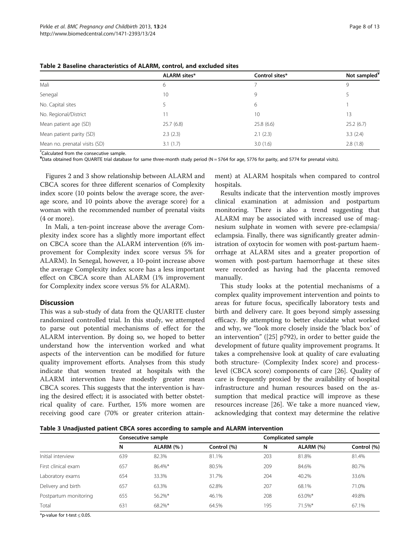|                               | <b>ALARM</b> sites* | Control sites* | Not sampled <sup>¥</sup> |
|-------------------------------|---------------------|----------------|--------------------------|
| Mali                          | 6                   |                | 9                        |
| Senegal                       | 10                  | 9              |                          |
| No. Capital sites             |                     | 6              |                          |
| No. Regional/District         | 11                  | 10             | 13                       |
| Mean patient age (SD)         | 25.7(6.8)           | 25.8(6.6)      | 25.2(6.7)                |
| Mean patient parity (SD)      | 2.3(2.3)            | 2.1(2.3)       | 3.3(2.4)                 |
| Mean no. prenatal visits (SD) | 3.1(1.7)            | 3.0(1.6)       | 2.8(1.8)                 |

<span id="page-7-0"></span>Table 2 Baseline characteristics of ALARM, control, and excluded sites

\* Calculated from the consecutive sample.

¥ Data obtained from QUARITE trial database for same three-month study period (N = 5764 for age, 5776 for parity, and 5774 for prenatal visits).

Figures [2](#page-10-0) and [3](#page-10-0) show relationship between ALARM and CBCA scores for three different scenarios of Complexity index score (10 points below the average score, the average score, and 10 points above the average score) for a woman with the recommended number of prenatal visits (4 or more).

In Mali, a ten-point increase above the average Complexity index score has a slightly more important effect on CBCA score than the ALARM intervention (6% improvement for Complexity index score versus 5% for ALARM). In Senegal, however, a 10-point increase above the average Complexity index score has a less important effect on CBCA score than ALARM (1% improvement for Complexity index score versus 5% for ALARM).

### **Discussion**

This was a sub-study of data from the QUARITE cluster randomized controlled trial. In this study, we attempted to parse out potential mechanisms of effect for the ALARM intervention. By doing so, we hoped to better understand how the intervention worked and what aspects of the intervention can be modified for future quality improvement efforts. Analyses from this study indicate that women treated at hospitals with the ALARM intervention have modestly greater mean CBCA scores. This suggests that the intervention is having the desired effect; it is associated with better obstetrical quality of care. Further, 15% more women are receiving good care (70% or greater criterion attain-

ment) at ALARM hospitals when compared to control hospitals.

Results indicate that the intervention mostly improves clinical examination at admission and postpartum monitoring. There is also a trend suggesting that ALARM may be associated with increased use of magnesium sulphate in women with severe pre-eclampsia/ eclampsia. Finally, there was significantly greater administration of oxytocin for women with post-partum haemorrhage at ALARM sites and a greater proportion of women with post-partum haemorrhage at these sites were recorded as having had the placenta removed manually.

This study looks at the potential mechanisms of a complex quality improvement intervention and points to areas for future focus, specifically laboratory tests and birth and delivery care. It goes beyond simply assessing efficacy. By attempting to better elucidate what worked and why, we "look more closely inside the 'black box' of an intervention" ([[25\]](#page-12-0) p792), in order to better guide the development of future quality improvement programs. It takes a comprehensive look at quality of care evaluating both structure- (Complexity Index score) and processlevel (CBCA score) components of care [\[26\]](#page-12-0). Quality of care is frequently proxied by the availability of hospital infrastructure and human resources based on the assumption that medical practice will improve as these resources increase [[26](#page-12-0)]. We take a more nuanced view, acknowledging that context may determine the relative

Table 3 Unadjusted patient CBCA sores according to sample and ALARM intervention

|                       | Consecutive sample |           |             | Complicated sample |           |             |
|-----------------------|--------------------|-----------|-------------|--------------------|-----------|-------------|
|                       | N                  | ALARM (%) | Control (%) | N                  | ALARM (%) | Control (%) |
| Initial interview     | 639                | 82.3%     | 81.1%       | 203                | 81.8%     | 81.4%       |
| First clinical exam   | 657                | 86.4%*    | 80.5%       | 209                | 84.6%     | 80.7%       |
| Laboratory exams      | 654                | 33.3%     | 31.7%       | 204                | 40.2%     | 33.6%       |
| Delivery and birth    | 657                | 63.3%     | 62.8%       | 207                | 68.1%     | 71.0%       |
| Postpartum monitoring | 655                | 56.2%*    | 46.1%       | 208                | 63.0%*    | 49.8%       |
| Total                 | 631                | 68.2%*    | 64.5%       | 195                | 71.5%*    | 67.1%       |

\*p-value for t-test  $\leq$  0.05.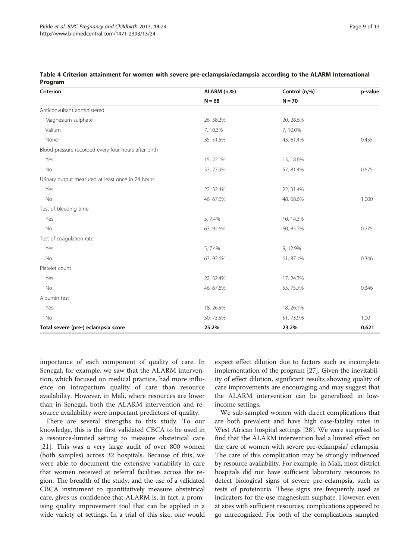| Criterion                                            | ALARM (n,%) | Control (n,%) | p-value |
|------------------------------------------------------|-------------|---------------|---------|
|                                                      | $N = 68$    | $N = 70$      |         |
| Anticonvulsant administered                          |             |               |         |
| Magnesium sulphate                                   | 26, 38.2%   | 20, 28.6%     |         |
| Valium                                               | 7,10.3%     | 7,10.0%       |         |
| None                                                 | 35, 51.5%   | 43, 61.4%     | 0.455   |
| Blood pressure recorded every four hours after birth |             |               |         |
| Yes                                                  | 15, 22.1%   | 13, 18.6%     |         |
| No                                                   | 53, 77.9%   | 57, 81.4%     | 0.675   |
| Urinary output measured at least once in 24 hours    |             |               |         |
| Yes                                                  | 22, 32.4%   | 22, 31.4%     |         |
| No                                                   | 46, 67.6%   | 48, 68.6%     | 1.000   |
| Test of bleeding time                                |             |               |         |
| Yes                                                  | 5, 7.4%     | 10, 14.3%     |         |
| No                                                   | 63, 92.6%   | 60, 85.7%     | 0.275   |
| Test of coagulation rate                             |             |               |         |
| Yes                                                  | 5, 7.4%     | 9, 12.9%      |         |
| No                                                   | 63, 92.6%   | 61, 87.1%     | 0.346   |
| Platelet count                                       |             |               |         |
| Yes                                                  | 22, 32.4%   | 17, 24.3%     |         |
| No                                                   | 46, 67.6%   | 53, 75.7%     | 0.346   |
| Albumin test                                         |             |               |         |
| Yes                                                  | 18, 26.5%   | 18, 26.1%     |         |
| No                                                   | 50, 73.5%   | 51, 73.9%     | 1.00    |
| Total severe (pre-) eclampsia score                  | 25.2%       | 23.2%         | 0.621   |

<span id="page-8-0"></span>

|         | Table 4 Criterion attainment for women with severe pre-eclampsia/eclampsia according to the ALARM International |  |  |  |
|---------|-----------------------------------------------------------------------------------------------------------------|--|--|--|
| Program |                                                                                                                 |  |  |  |

importance of each component of quality of care. In Senegal, for example, we saw that the ALARM intervention, which focused on medical practice, had more influence on intrapartum quality of care than resource availability. However, in Mali, where resources are lower than in Senegal, both the ALARM intervention and resource availability were important predictors of quality.

There are several strengths to this study. To our knowledge, this is the first validated CBCA to be used in a resource-limited setting to measure obstetrical care [[21\]](#page-12-0). This was a very large audit of over 800 women (both samples) across 32 hospitals. Because of this, we were able to document the extensive variability in care that women received at referral facilities across the region. The breadth of the study, and the use of a validated CBCA instrument to quantitatively measure obstetrical care, gives us confidence that ALARM is, in fact, a promising quality improvement tool that can be applied in a wide variety of settings. In a trial of this size, one would

expect effect dilution due to factors such as incomplete implementation of the program [\[27\]](#page-12-0). Given the inevitability of effect dilution, significant results showing quality of care improvements are encouraging and may suggest that the ALARM intervention can be generalized in lowincome settings.

We sub-sampled women with direct complications that are both prevalent and have high case-fatality rates in West African hospital settings [[28](#page-12-0)]. We were surprised to find that the ALARM intervention had a limited effect on the care of women with severe pre-eclampsia/ eclampsia. The care of this complication may be strongly influenced by resource availability. For example, in Mali, most district hospitals did not have sufficient laboratory resources to detect biological signs of severe pre-eclampsia, such as tests of proteinuria. These signs are frequently used as indicators for the use magnesium sulphate. However, even at sites with sufficient resources, complications appeared to go unrecognized. For both of the complications sampled,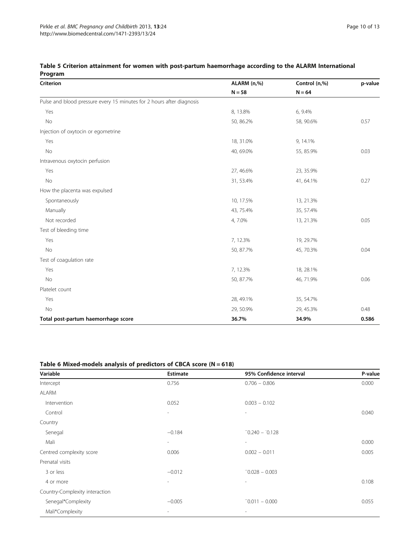| Criterion                                                             | ALARM (n,%) | Control (n,%) | p-value |
|-----------------------------------------------------------------------|-------------|---------------|---------|
|                                                                       | $N = 58$    | $N = 64$      |         |
| Pulse and blood pressure every 15 minutes for 2 hours after diagnosis |             |               |         |
| Yes                                                                   | 8, 13.8%    | 6, 9.4%       |         |
| No                                                                    | 50, 86.2%   | 58, 90.6%     | 0.57    |
| Injection of oxytocin or egometrine                                   |             |               |         |
| Yes                                                                   | 18, 31.0%   | 9, 14.1%      |         |
| No                                                                    | 40, 69.0%   | 55, 85.9%     | 0.03    |
| Intravenous oxytocin perfusion                                        |             |               |         |
| Yes                                                                   | 27, 46.6%   | 23, 35.9%     |         |
| No                                                                    | 31, 53.4%   | 41, 64.1%     | 0.27    |
| How the placenta was expulsed                                         |             |               |         |
| Spontaneously                                                         | 10, 17.5%   | 13, 21.3%     |         |
| Manually                                                              | 43, 75.4%   | 35, 57.4%     |         |
| Not recorded                                                          | 4,7.0%      | 13, 21.3%     | 0.05    |
| Test of bleeding time                                                 |             |               |         |
| Yes                                                                   | 7, 12.3%    | 19, 29.7%     |         |
| No                                                                    | 50, 87.7%   | 45, 70.3%     | 0.04    |
| Test of coagulation rate                                              |             |               |         |
| Yes                                                                   | 7, 12.3%    | 18, 28.1%     |         |
| No                                                                    | 50, 87.7%   | 46, 71.9%     | 0.06    |
| Platelet count                                                        |             |               |         |
| Yes                                                                   | 28, 49.1%   | 35, 54.7%     |         |
| No                                                                    | 29, 50.9%   | 29, 45.3%     | 0.48    |
| Total post-partum haemorrhage score                                   | 36.7%       | 34.9%         | 0.586   |

# <span id="page-9-0"></span>Table 5 Criterion attainment for women with post-partum haemorrhage according to the ALARM International Program

# Table 6 Mixed-models analysis of predictors of CBCA score  $(N = 618)$

| Variable                       | <b>Estimate</b>          | 95% Confidence interval  | P-value |
|--------------------------------|--------------------------|--------------------------|---------|
| Intercept                      | 0.756                    | $0.706 - 0.806$          | 0.000   |
| <b>ALARM</b>                   |                          |                          |         |
| Intervention                   | 0.052                    | $0.003 - 0.102$          |         |
| Control                        | $\sim$                   | $\overline{\phantom{a}}$ | 0.040   |
| Country                        |                          |                          |         |
| Senegal                        | $-0.184$                 | $-0.240 - 0.128$         |         |
| Mali                           | $\overline{\phantom{a}}$ | $\overline{\phantom{a}}$ | 0.000   |
| Centred complexity score       | 0.006                    | $0.002 - 0.011$          | 0.005   |
| Prenatal visits                |                          |                          |         |
| 3 or less                      | $-0.012$                 | $-0.028 - 0.003$         |         |
| 4 or more                      | $\overline{\phantom{a}}$ | $\overline{\phantom{a}}$ | 0.108   |
| Country-Complexity interaction |                          |                          |         |
| Senegal*Complexity             | $-0.005$                 | $-0.011 - 0.000$         | 0.055   |
| Mali*Complexity                | $\sim$                   | $\overline{\phantom{a}}$ |         |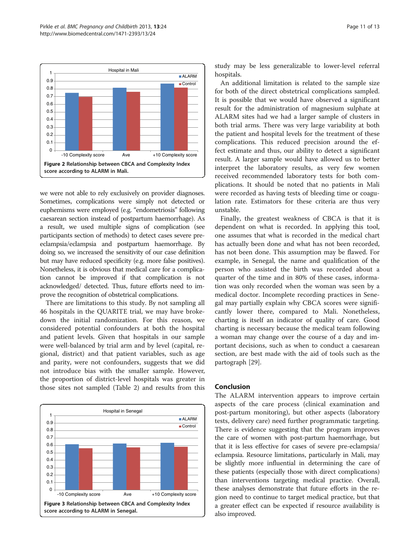<span id="page-10-0"></span>

we were not able to rely exclusively on provider diagnoses. Sometimes, complications were simply not detected or euphemisms were employed (e.g. "endometriosis" following caesarean section instead of postpartum haemorrhage). As a result, we used multiple signs of complication (see participants section of [methods\)](#page-1-0) to detect cases severe preeclampsia/eclampsia and postpartum haemorrhage. By doing so, we increased the sensitivity of our case definition but may have reduced specificity (e.g. more false positives). Nonetheless, it is obvious that medical care for a complication cannot be improved if that complication is not acknowledged/ detected. Thus, future efforts need to improve the recognition of obstetrical complications.

There are limitations to this study. By not sampling all 46 hospitals in the QUARITE trial, we may have brokedown the initial randomization. For this reason, we considered potential confounders at both the hospital and patient levels. Given that hospitals in our sample were well-balanced by trial arm and by level (capital, regional, district) and that patient variables, such as age and parity, were not confounders, suggests that we did not introduce bias with the smaller sample. However, the proportion of district-level hospitals was greater in those sites not sampled (Table [2](#page-7-0)) and results from this



study may be less generalizable to lower-level referral hospitals.

An additional limitation is related to the sample size for both of the direct obstetrical complications sampled. It is possible that we would have observed a significant result for the administration of magnesium sulphate at ALARM sites had we had a larger sample of clusters in both trial arms. There was very large variability at both the patient and hospital levels for the treatment of these complications. This reduced precision around the effect estimate and thus, our ability to detect a significant result. A larger sample would have allowed us to better interpret the laboratory results, as very few women received recommended laboratory tests for both complications. It should be noted that no patients in Mali were recorded as having tests of bleeding time or coagulation rate. Estimators for these criteria are thus very unstable.

Finally, the greatest weakness of CBCA is that it is dependent on what is recorded. In applying this tool, one assumes that what is recorded in the medical chart has actually been done and what has not been recorded, has not been done. This assumption may be flawed. For example, in Senegal, the name and qualification of the person who assisted the birth was recorded about a quarter of the time and in 80% of these cases, information was only recorded when the woman was seen by a medical doctor. Incomplete recording practices in Senegal may partially explain why CBCA scores were significantly lower there, compared to Mali. Nonetheless, charting is itself an indicator of quality of care. Good charting is necessary because the medical team following a woman may change over the course of a day and important decisions, such as when to conduct a caesarean section, are best made with the aid of tools such as the partograph [[29\]](#page-12-0).

#### Conclusion

The ALARM intervention appears to improve certain aspects of the care process (clinical examination and post-partum monitoring), but other aspects (laboratory tests, delivery care) need further programmatic targeting. There is evidence suggesting that the program improves the care of women with post-partum haemorrhage, but that it is less effective for cases of severe pre-eclampsia/ eclampsia. Resource limitations, particularly in Mali, may be slightly more influential in determining the care of these patients (especially those with direct complications) than interventions targeting medical practice. Overall, these analyses demonstrate that future efforts in the region need to continue to target medical practice, but that a greater effect can be expected if resource availability is also improved.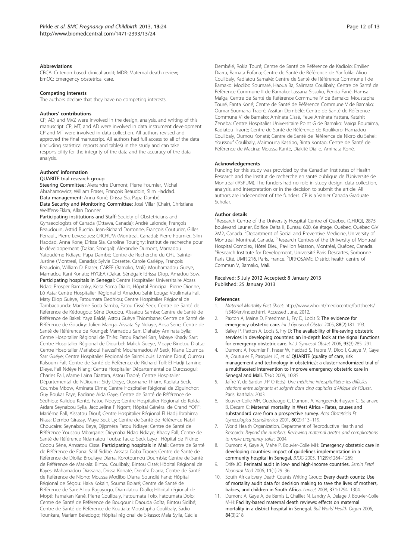#### <span id="page-11-0"></span>**Abbreviations**

CBCA: Criterion based clinical audit; MDR: Maternal death review; EmOC: Emergency obstetrical care.

#### Competing interests

The authors declare that they have no competing interests.

#### Authors' contributions

CP, AD, and MVZ were involved in the design, analysis, and writing of this manuscript. CP, MT, and AD were involved in data instrument development. CP and MT were involved in data collection. All authors revised and approved the final manuscript. All authors had full access to all of the data (including statistical reports and tables) in the study and can take responsibility for the integrity of the data and the accuracy of the data analysis.

#### Authors' information

#### QUARITE trial research group

Steering Committee: Alexandre Dumont, Pierre Fournier, Michal Abrahamowicz, William Fraser, François Beaudoin, Slim Haddad. Data management: Anna Koné, Drissa Sia, Papa Dambé. Data Security and Monitoring Committee: José Villar (Chair), Christiane Welffens-Ekkra, Allan Donner.

Participating institutions and Staff: Society of Obstetricians and Gynaecologists of Canada (Ottawa, Canada): André Lalonde, François Beaudouin, Astrid Buccio, Jean-Richard Dortonne, François Couturier, Gilles Perrault, Pierre Levesques; CRCHUM (Montreal, Canada): Pierre Fournier, Slim Haddad, Anna Kone, Drissa Sia, Caroline Tourigny; Institut de recherche pour le développement (Dakar, Senegal): Alexandre Dumont, Mamadou Yatoudème Ndiaye, Papa Dambé; Centre de Recherche du CHU Sainte-Justine (Montreal, Canada): Sylvie Cossette, Carole Gariépy, François Beaudoin, William D. Fraser; CAREF (Bamako, Mali): Mouhamadou Gueye, Mamadou Kani Konate; HYGEA (Dakar, Sénégal): Idrissa Diop, Amadou Sow. Participating hospitals in Senegal: Centre Hospitalier Universitaire Abass Ndao: Prosper Bamboky, Keita Soma Diallo; Hôpital Principal: Pierre Dionne, Lô Asta; Centre Hospitalier Régional El Amadou Sahir Louga: Voulimata Fall, Maty Diop Guèye, Fatoumata Dedhiou; Centre Hospitalier Régional de Tambacounda: Maréme Soda Samba, Fatou Cissé Seck; Centre de Santé de Référence de Kédougou: Sène Doudou, Aïssatou Samba; Centre de Santé de Référence de Bakel: Yaya Baldé, Astou Guèye Thiombane; Centre de Santé de Référence de Goudiry: Julien Manga, Aïssata Sy Ndiaye, Absa Sene; Centre de Santé de Référence de Koungel: Mamadou Sarr, Diahaby Aminata Sylla; Centre Hospitalier Régional de Thiès: Fatou Rachel Sarr, Mbaye Khady Sarr; Centre Hospitalier Régional de Diourbel: Malick Gueye, Mbaye Binetou Diatta; Centre Hospitalier Matlaboul Fawzeïni: Mouhamadou M Seck, Niane Coumba Sarr Guéye; Centre Hospitalier Régional de Saint-Louis: Lamine Diouf, Oumou Kalsoum Fall; Centre de Santé de Référence de Richard Toll: El Hadji Lamine Dieye, Fall Ndèye Niang; Centre Hospitalier Départemental de Ourossogui: Charles Fall, Mame Laina Diattara, Astou Traoré; Centre Hospitalier Départemental de NDioum : Sidy Dieye, Ousmane Thiam, Kadiata Seck, Coumba Mbow, Aminata Dime; Centre Hospitalier Régional de Ziguinchor: Guy Boukar Faye, Badiane Aida Gaye; Centre de Santé de Référence de Sédhiou: Kalidou Konté, Fatou Ndoye; Centre Hospitalier Régional de Kolda: Aïdara Seynabou Sylla, Jacqueline F Ngom; Hôpital Général de Grand YOFF: Mariéme Fall, Aïssatou Diouf; Centre Hospitalier Régional El Hadji Ibrahima Niass: Dembo Girassy, Maye Seck Ly; Centre de Santé de Référence Nabil Choucaire: Seynabou Beye, Djipméra Fatou Ndiaye; Centre de Santé de Référence Youssou Mbargane: Dieynaba Ndao Ndiaye, Khady Fall; Centre de Santé de Référence Ndamatou Touba: Tacko Seck Leye ; Hôpital de Pikine: Codou Séne, Amsatou Cisse. Participating hospitals in Mali: Centre de Santé de Référence de Fana: Salif Sidibé, Aïssata Daba Traoré; Centre de Santé de Référence de Dioila: Broulaye Diarra, Korotoumou Doumbia; Centre de Santé de Référence de Markala: Bintou Coulibaly, Bintou Cissé; Hôpital Régional de Kayes: Mahamadou Diassana, Drissa Konaté, Dienfra Diarra; Centre de Santé de Référence de Niono: Moussa Modibo Diarra, Soundiè Fané; Hôpital Régional de Ségou: Haka Kokain, Souma Boiaré; Centre de Santé de Référence de San: Aliou Bagayogo, Diamilatou Diallo; Hôpital régional de Mopti: Famakan Kané, Pierre Coulibaly, Fatoumata Tolo, Fatoumata Dolo; Centre de Santé de Référence de Bougouni: Daouda Goïta, Bintou Sidibé; Centre de Santé de Référence de Koutiala: Moustapha Coulibaly, Sadio Tounkara, Mariam Beledogo; Hôpital régional de Sikasso: Mala Sylla, Cécile

Dembélé, Rokia Touré; Centre de Santé de Référence de Kadiolo: Emilien Diarra, Ramata Fofana; Centre de Santé de Référence de Yanfolila: Aliou Coulibaly, Kadiatou Samaké; Centre de Santé de Référence Commune I de Bamako: Modibo Soumaré, Haoua Ba, Salimata Coulibaly; Centre de Santé de Référence Commune II de Bamako: Lassana Sissoko, Penda Fané, Hamsa Maïga; Centre de Santé de Référence Commune IV de Bamako: Moustapha Touré, Fanta Koné; Centre de Santé de Référence Commune V de Bamako: Oumar Soumana Traoré, Assitan Dembélé; Centre de Santé de Référence Commune VI de Bamako: Aminata Cissé, Feue Aminata Yattara, Katahit Zeneba; Centre Hospitalier Universitaire Point G de Bamako: Maïga Bouraïma, Kadiatou Traoré; Centre de Santé de Référence de Koulikoro: Hamadou Coulibaly, Oumou Konaté; Centre de Santé de Référence de Nioro du Sahel: Youssouf Coulibaly, Maïmouna Kassibo, Binta Kontao; Centre de Santé de Référence de Macina: Moussa Kanté, Diakité Diallo, Aminata Koné.

#### Acknowledgements

Funding for this study was provided by the Canadian Institutes of Health Research and the Institut de recherche en santé publique de l'Université de Montréal (IRSPUM). The funders had no role in study design, data collection, analysis, and interpretation or in the decision to submit the article. All authors are independent of the funders. CP is a Vanier Canada Graduate Scholar.

#### Author details

<sup>1</sup>Research Centre of the University Hospital Centre of Quebec (CHUQ), 2875 boulevard Laurier, Édifice Delta II, Bureau 600, 6e étage, Québec, Québec GIV 2M2, Canada. <sup>2</sup>Department of Social and Preventive Medicine, University of Montreal, Montreal, Canada. <sup>3</sup> Research Centres of the University of Montreal Hospital Complex, Hôtel Dieu, Pavillon Masson, Montréal, Québec, Canada. 4 Research Institute for Development, Université Paris Descartes, Sorbonne Paris Cité, UMR 216, Paris, France. <sup>5</sup>URFOSAME, District health centre of Commun V, Bamako, Mali.

#### Received: 5 July 2012 Accepted: 8 January 2013 Published: 25 January 2013

#### References

- 1. Maternal Mortality Fact Sheet: [http://www.who.int/mediacentre/factsheets/](http://www.who.int/mediacentre/factsheets/fs348/en/index.html) [fs348/en/index.html](http://www.who.int/mediacentre/factsheets/fs348/en/index.html). Accessed June, 2012.
- 2. Paxton A, Maine D, Freedman L, Fry D, Lobis S: The evidence for emergency obstetric care. Int J Gynaecol Obstet 2005, 88(2):181-193.
- Bailey P, Paxton A, Lobis S, Fry D: The availability of life-saving obstetric services in developing countries: an in-depth look at the signal functions for emergency obstetric care. Int J Gynaecol Obstet 2006, 93(3):285–291.
- 4. Dumont A, Fournier P, Fraser W, Haddad S, Traore M, Diop I, Gueye M, Gaye A, Couturier F, Pasquier JC, et al: QUARITE (quality of care, risk management and technology in obstetrics): a cluster-randomized trial of a multifaceted intervention to improve emergency obstetric care in Senegal and Mali. Trials 2009, 10:85.
- 5. Jaffré Y, de Sardan J-P O (Eds): Une médicine inhospitalitière: les difficiles relations entre soignants et soignés dans cinq capitales d'Afrique de l'Ouest. Paris: Karthala; 2003.
- 6. Bouvier-Colle MH, Ouedraogo C, Dumont A, Vangeenderhuysen C, Salanave B, Decam C: Maternal mortality in West Africa - Rates, causes and substandard care from a prospective survey. Acta Obstetricia Et Gynecologica Scandinavica 2001, 80(2):113–119.
- 7. World Health Organization, Department of Reproductive Health and Research: Beyond the numbers: Reviewing maternal deaths and complications to make pregnancy safer.; 2004.
- 8. Dumont A, Gaye A, Mahe P, Bouvier-Colle MH: Emergency obstetric care in developing countries: impact of guidelines implementation in a community hospital in Senegal. BJOG 2005, 112(9):1264–1269.
- Drife JO: Perinatal audit in low- and high-income countries. Semin Fetal Neonatal Med 2006, 11(1):29–36.
- 10. South Africa Every Death Counts Writing Group: Every death counts: Use of mortality audit data for decision making to save the lives of mothers, babies, and children in South Africa. Lancet 2008, 371:1294–1304.
- 11. Dumont A, Gaye A, de Bernis L, Chaillet N, Landry A, Delage J, Bouvier-Colle M-H: Facility-based maternal death reviews: effects on maternal mortality in a district hospital in Senegal. Bull World Health Organ 2006, 84(3):218.